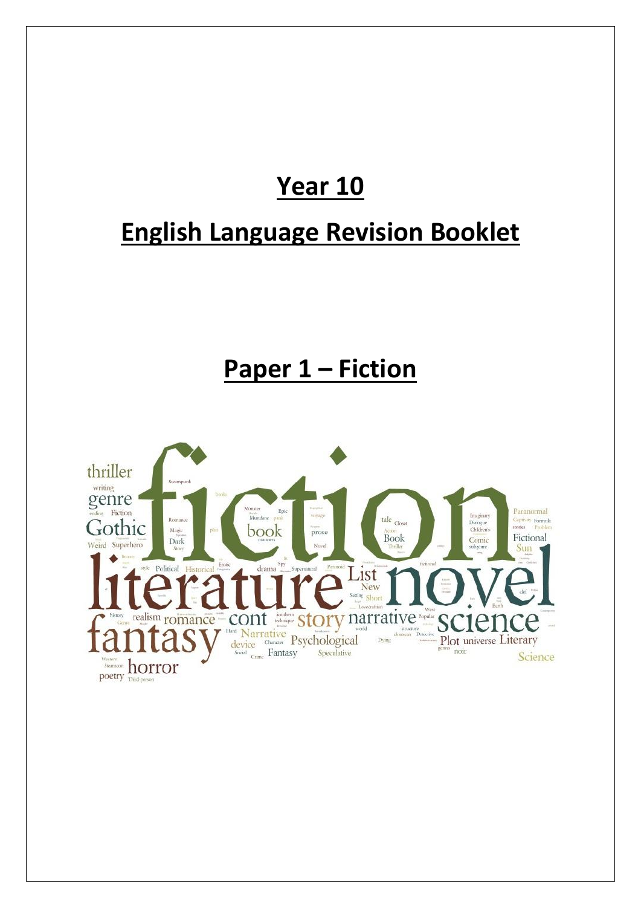# **Year 10**

# **English Language Revision Booklet**

# **Paper 1 – Fiction**

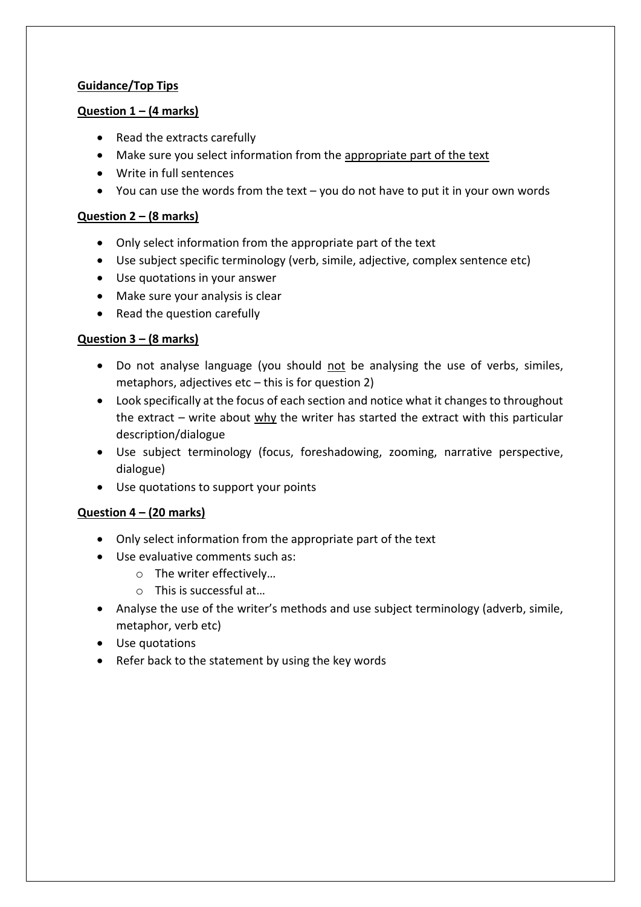# **Guidance/Top Tips**

# **Question 1 – (4 marks)**

- Read the extracts carefully
- Make sure you select information from the appropriate part of the text
- Write in full sentences
- You can use the words from the text you do not have to put it in your own words

# **Question 2 – (8 marks)**

- Only select information from the appropriate part of the text
- Use subject specific terminology (verb, simile, adjective, complex sentence etc)
- Use quotations in your answer
- Make sure your analysis is clear
- Read the question carefully

# **Question 3 – (8 marks)**

- Do not analyse language (you should not be analysing the use of verbs, similes, metaphors, adjectives  $etc$  – this is for question 2)
- Look specifically at the focus of each section and notice what it changes to throughout the extract – write about  $why$  the writer has started the extract with this particular description/dialogue
- Use subject terminology (focus, foreshadowing, zooming, narrative perspective, dialogue)
- Use quotations to support your points

# **Question 4 – (20 marks)**

- Only select information from the appropriate part of the text
- Use evaluative comments such as:
	- o The writer effectively…
	- o This is successful at…
- Analyse the use of the writer's methods and use subject terminology (adverb, simile, metaphor, verb etc)
- Use quotations
- Refer back to the statement by using the key words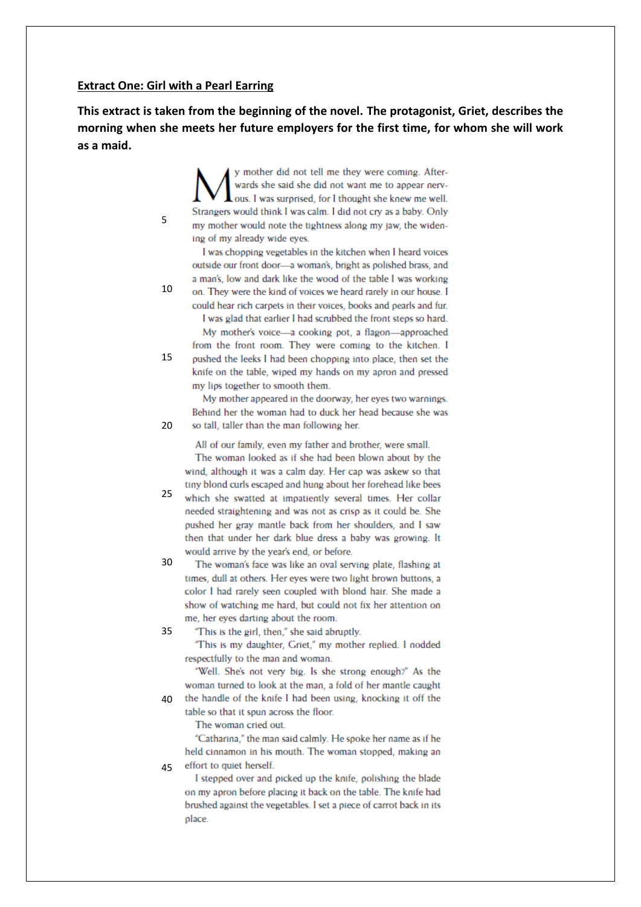#### **Extract One: Girl with a Pearl Earring**

**This extract is taken from the beginning of the novel. The protagonist, Griet, describes the morning when she meets her future employers for the first time, for whom she will work as a maid.** 

> y mother did not tell me they were coming. Afterwards she said she did not want me to appear nervous. I was surprised, for I thought she knew me well. Strangers would think I was calm. I did not cry as a baby. Only my mother would note the tightness along my jaw, the widening of my already wide eyes.

I was chopping vegetables in the kitchen when I heard voices outside our front door-a woman's, bright as polished brass, and a man's, low and dark like the wood of the table I was working on. They were the kind of voices we heard rarely in our house. I

could hear rich carpets in their voices, books and pearls and fur. I was glad that earlier I had scrubbed the front steps so hard. My mother's voice-a cooking pot, a flagon-approached from the front room. They were coming to the kitchen. I pushed the leeks I had been chopping into place, then set the knife on the table, wiped my hands on my apron and pressed

my lips together to smooth them. My mother appeared in the doorway, her eyes two warnings. Behind her the woman had to duck her head because she was so tall, taller than the man following her.

All of our family, even my father and brother, were small.

The woman looked as if she had been blown about by the wind, although it was a calm day. Her cap was askew so that tiny blond curls escaped and hung about her forehead like bees

25 which she swatted at impatiently several times. Her collar needed straightening and was not as crisp as it could be. She pushed her gray mantle back from her shoulders, and I saw then that under her dark blue dress a baby was growing. It would arrive by the year's end, or before.

- 30 The woman's face was like an oval serving plate, flashing at times, dull at others. Her eyes were two light brown buttons, a color I had rarely seen coupled with blond hair. She made a show of watching me hard, but could not fix her attention on me, her eyes darting about the room.
- 35 "This is the girl, then," she said abruptly.

"This is my daughter, Griet," my mother replied. I nodded respectfully to the man and woman.

"Well. She's not very big. Is she strong enough?" As the woman turned to look at the man, a fold of her mantle caught

40 the handle of the knife I had been using, knocking it off the table so that it spun across the floor.

The woman cried out.

"Catharina," the man said calmly. He spoke her name as if he held cinnamon in his mouth. The woman stopped, making an 45 effort to quiet herself.

I stepped over and picked up the knife, polishing the blade on my apron before placing it back on the table. The knife had brushed against the vegetables. I set a piece of carrot back in its place.

10

15

20

5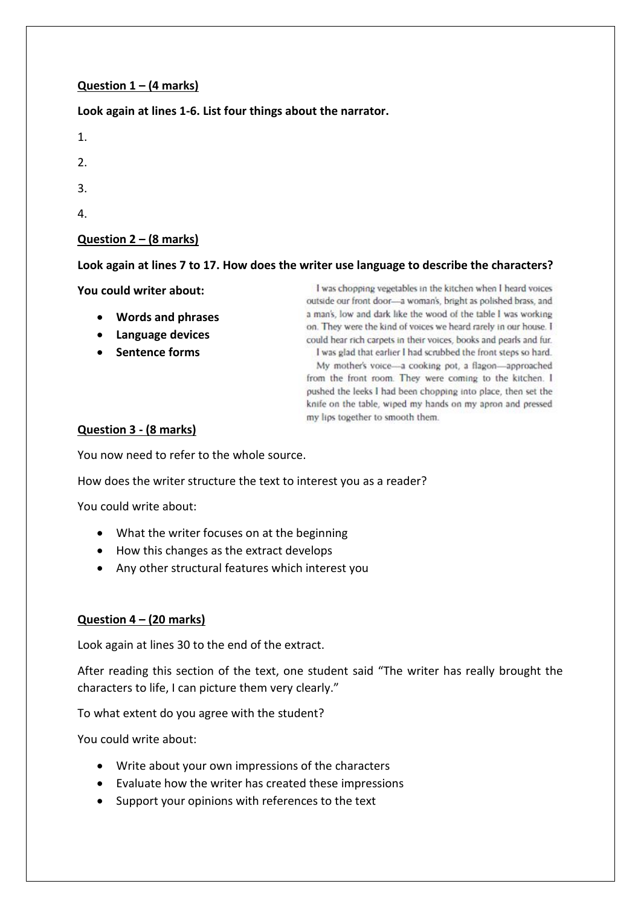**Look again at lines 1-6. List four things about the narrator.**

| Question 2 - (8 marks) |  |  |
|------------------------|--|--|
| 4.                     |  |  |
| 3.                     |  |  |
| 2.                     |  |  |
| 1.                     |  |  |

**Look again at lines 7 to 17. How does the writer use language to describe the characters?**

**You could writer about:**

- **Words and phrases**
- **Language devices**
- **Sentence forms**

I was chopping vegetables in the kitchen when I heard voices outside our front door-a woman's, bright as polished brass, and a man's, low and dark like the wood of the table I was working on. They were the kind of voices we heard rarely in our house. I could hear rich carpets in their voices, books and pearls and fur.

I was glad that earlier I had scrubbed the front steps so hard. My mother's voice-a cooking pot, a flagon-approached from the front room. They were coming to the kitchen. I pushed the leeks I had been chopping into place, then set the knife on the table, wiped my hands on my apron and pressed my lips together to smooth them.

## **Question 3 - (8 marks)**

You now need to refer to the whole source.

How does the writer structure the text to interest you as a reader?

You could write about:

- What the writer focuses on at the beginning
- How this changes as the extract develops
- Any other structural features which interest you

# **Question 4 – (20 marks)**

Look again at lines 30 to the end of the extract.

After reading this section of the text, one student said "The writer has really brought the characters to life, I can picture them very clearly."

To what extent do you agree with the student?

- Write about your own impressions of the characters
- Evaluate how the writer has created these impressions
- Support your opinions with references to the text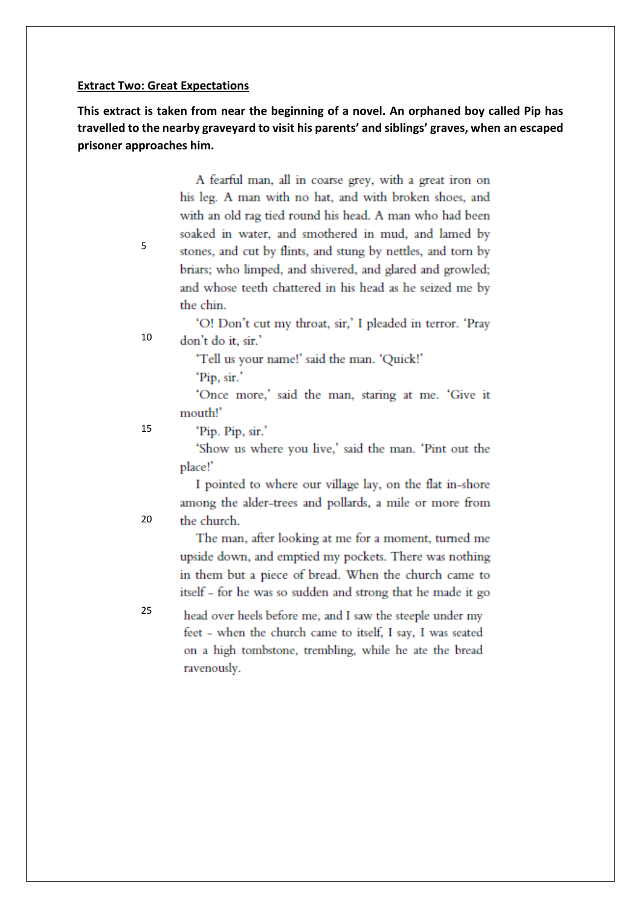#### **Extract Two: Great Expectations**

**This extract is taken from near the beginning of a novel. An orphaned boy called Pip has travelled to the nearby graveyard to visit his parents' and siblings' graves, when an escaped prisoner approaches him.** 

> A fearful man, all in coarse grey, with a great iron on his leg. A man with no hat, and with broken shoes, and with an old rag tied round his head. A man who had been soaked in water, and smothered in mud, and lamed by stones, and cut by flints, and stung by nettles, and torn by briars; who limped, and shivered, and glared and growled; and whose teeth chattered in his head as he seized me by the chin.

'O! Don't cut my throat, sir,' I pleaded in terror. 'Pray 10 don't do it, sir.'

'Tell us your name!' said the man. 'Quick!'

'Pip. sir.'

'Once more,' said the man, staring at me. 'Give it mouth!'

15

20

5

'Pip. Pip. sir.'

'Show us where you live,' said the man. 'Pint out the place!'

I pointed to where our village lay, on the flat in-shore among the alder-trees and pollards, a mile or more from the church.

The man, after looking at me for a moment, turned me upside down, and emptied my pockets. There was nothing in them but a piece of bread. When the church came to itself – for he was so sudden and strong that he made it go

25head over heels before me, and I saw the steeple under my feet - when the church came to itself, I say, I was seated on a high tombstone, trembling, while he ate the bread ravenously.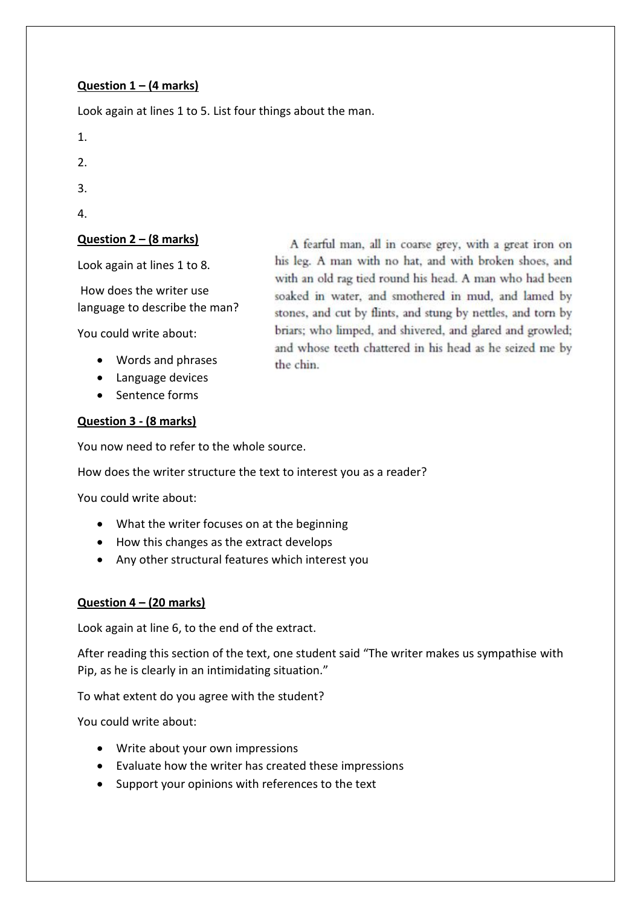Look again at lines 1 to 5. List four things about the man.

1.  $\mathcal{L}$ 3.

4.

# **Question 2 – (8 marks)**

Look again at lines 1 to 8.

How does the writer use language to describe the man?

You could write about:

- Words and phrases
- Language devices
- Sentence forms

# **Question 3 - (8 marks)**

You now need to refer to the whole source.

How does the writer structure the text to interest you as a reader?

You could write about:

- What the writer focuses on at the beginning
- How this changes as the extract develops
- Any other structural features which interest you

## **Question 4 – (20 marks)**

Look again at line 6, to the end of the extract.

After reading this section of the text, one student said "The writer makes us sympathise with Pip, as he is clearly in an intimidating situation."

To what extent do you agree with the student?

You could write about:

- Write about your own impressions
- Evaluate how the writer has created these impressions
- Support your opinions with references to the text

A fearful man, all in coarse grev, with a great iron on his leg. A man with no hat, and with broken shoes, and with an old rag tied round his head. A man who had been soaked in water, and smothered in mud, and lamed by stones, and cut by flints, and stung by nettles, and torn by briars; who limped, and shivered, and glared and growled; and whose teeth chattered in his head as he seized me by the chin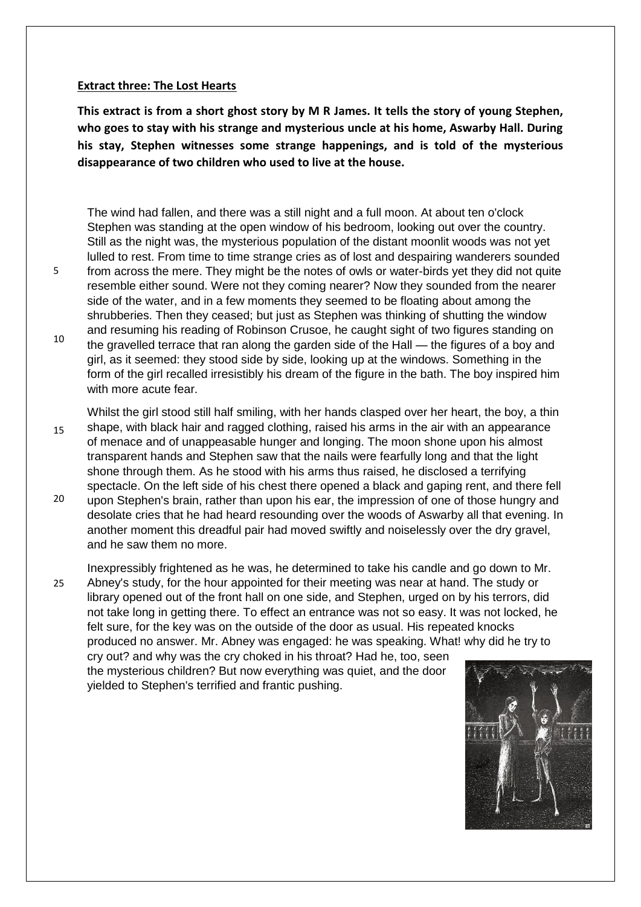### **Extract three: The Lost Hearts**

5

10

**This extract is from a short ghost story by M R James. It tells the story of young Stephen, who goes to stay with his strange and mysterious uncle at his home, Aswarby Hall. During his stay, Stephen witnesses some strange happenings, and is told of the mysterious disappearance of two children who used to live at the house.** 

The wind had fallen, and there was a still night and a full moon. At about ten o'clock Stephen was standing at the open window of his bedroom, looking out over the country. Still as the night was, the mysterious population of the distant moonlit woods was not yet lulled to rest. From time to time strange cries as of lost and despairing wanderers sounded from across the mere. They might be the notes of owls or water-birds yet they did not quite resemble either sound. Were not they coming nearer? Now they sounded from the nearer side of the water, and in a few moments they seemed to be floating about among the shrubberies. Then they ceased; but just as Stephen was thinking of shutting the window and resuming his reading of Robinson Crusoe, he caught sight of two figures standing on the gravelled terrace that ran along the garden side of the Hall — the figures of a boy and girl, as it seemed: they stood side by side, looking up at the windows. Something in the form of the girl recalled irresistibly his dream of the figure in the bath. The boy inspired him with more acute fear.

Whilst the girl stood still half smiling, with her hands clasped over her heart, the boy, a thin shape, with black hair and ragged clothing, raised his arms in the air with an appearance of menace and of unappeasable hunger and longing. The moon shone upon his almost transparent hands and Stephen saw that the nails were fearfully long and that the light shone through them. As he stood with his arms thus raised, he disclosed a terrifying spectacle. On the left side of his chest there opened a black and gaping rent, and there fell 15

upon Stephen's brain, rather than upon his ear, the impression of one of those hungry and desolate cries that he had heard resounding over the woods of Aswarby all that evening. In another moment this dreadful pair had moved swiftly and noiselessly over the dry gravel, and he saw them no more. 20

Inexpressibly frightened as he was, he determined to take his candle and go down to Mr. Abney's study, for the hour appointed for their meeting was near at hand. The study or library opened out of the front hall on one side, and Stephen, urged on by his terrors, did not take long in getting there. To effect an entrance was not so easy. It was not locked, he felt sure, for the key was on the outside of the door as usual. His repeated knocks produced no answer. Mr. Abney was engaged: he was speaking. What! why did he try to cry out? and why was the cry choked in his throat? Had he, too, seen the mysterious children? But now everything was quiet, and the door yielded to Stephen's terrified and frantic pushing. 25

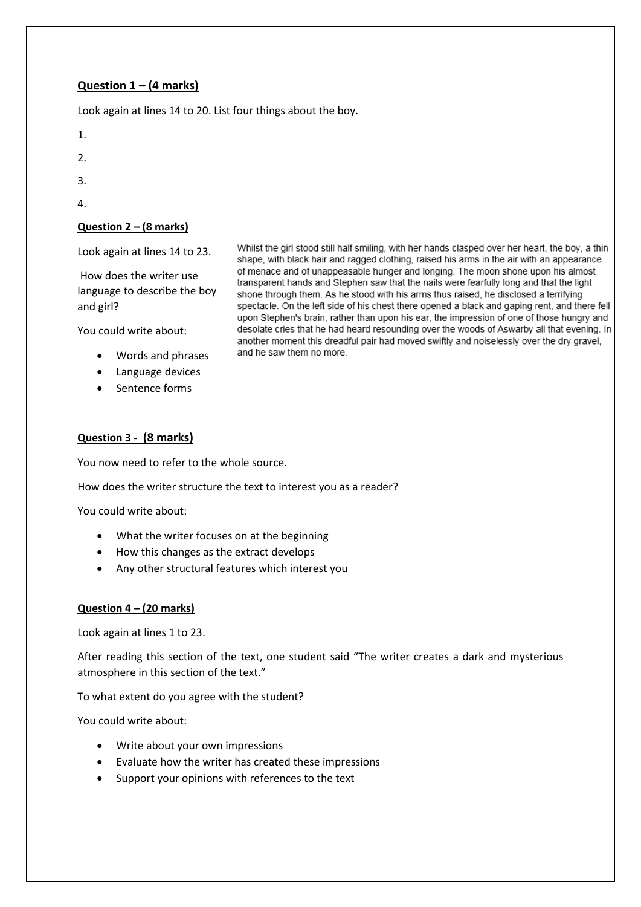Look again at lines 14 to 20. List four things about the boy.

| Question $2 - (8$ marks) |  |  |  |  |  |
|--------------------------|--|--|--|--|--|
| 4.                       |  |  |  |  |  |
| 3.                       |  |  |  |  |  |
| 2.                       |  |  |  |  |  |
| 1.                       |  |  |  |  |  |

Look again at lines 14 to 23.

How does the writer use language to describe the boy and girl?

You could write about:

- Words and phrases
- Language devices
- Sentence forms

Whilst the girl stood still half smiling, with her hands clasped over her heart, the boy, a thin shape, with black hair and ragged clothing, raised his arms in the air with an appearance of menace and of unappeasable hunger and longing. The moon shone upon his almost transparent hands and Stephen saw that the nails were fearfully long and that the light shone through them. As he stood with his arms thus raised, he disclosed a terrifying spectacle. On the left side of his chest there opened a black and gaping rent, and there fell upon Stephen's brain, rather than upon his ear, the impression of one of those hungry and desolate cries that he had heard resounding over the woods of Aswarby all that evening. In another moment this dreadful pair had moved swiftly and noiselessly over the dry gravel, and he saw them no more.

## **Question 3 - (8 marks)**

You now need to refer to the whole source.

How does the writer structure the text to interest you as a reader?

You could write about:

- What the writer focuses on at the beginning
- How this changes as the extract develops
- Any other structural features which interest you

### **Question 4 – (20 marks)**

Look again at lines 1 to 23.

After reading this section of the text, one student said "The writer creates a dark and mysterious atmosphere in this section of the text."

To what extent do you agree with the student?

- Write about your own impressions
- Evaluate how the writer has created these impressions
- Support your opinions with references to the text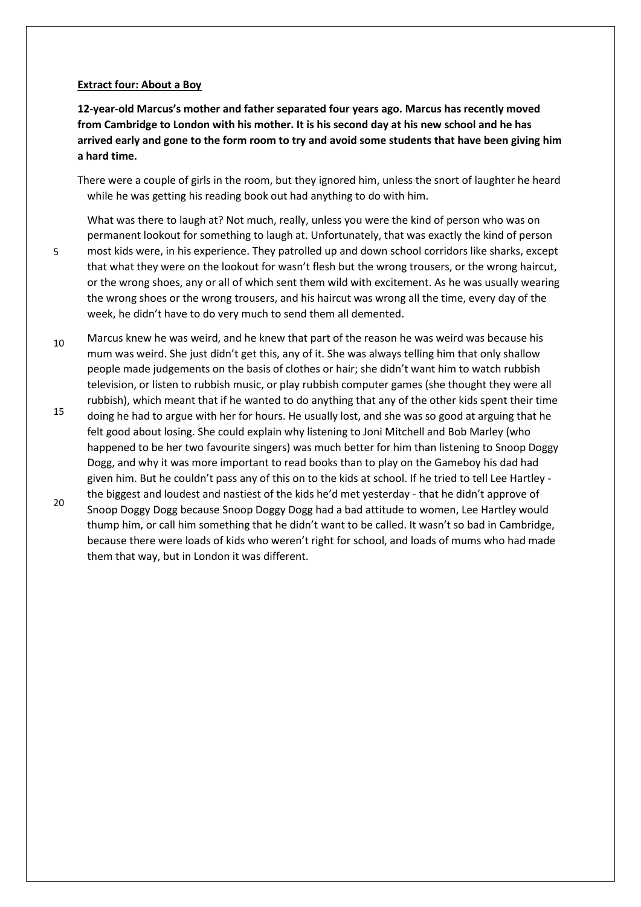#### **Extract four: About a Boy**

5

**12-year-old Marcus's mother and father separated four years ago. Marcus has recently moved from Cambridge to London with his mother. It is his second day at his new school and he has arrived early and gone to the form room to try and avoid some students that have been giving him a hard time.** 

There were a couple of girls in the room, but they ignored him, unless the snort of laughter he heard while he was getting his reading book out had anything to do with him.

What was there to laugh at? Not much, really, unless you were the kind of person who was on permanent lookout for something to laugh at. Unfortunately, that was exactly the kind of person most kids were, in his experience. They patrolled up and down school corridors like sharks, except that what they were on the lookout for wasn't flesh but the wrong trousers, or the wrong haircut, or the wrong shoes, any or all of which sent them wild with excitement. As he was usually wearing the wrong shoes or the wrong trousers, and his haircut was wrong all the time, every day of the week, he didn't have to do very much to send them all demented.

- Marcus knew he was weird, and he knew that part of the reason he was weird was because his mum was weird. She just didn't get this, any of it. She was always telling him that only shallow people made judgements on the basis of clothes or hair; she didn't want him to watch rubbish television, or listen to rubbish music, or play rubbish computer games (she thought they were all rubbish), which meant that if he wanted to do anything that any of the other kids spent their time 10
- doing he had to argue with her for hours. He usually lost, and she was so good at arguing that he felt good about losing. She could explain why listening to Joni Mitchell and Bob Marley (who happened to be her two favourite singers) was much better for him than listening to Snoop Doggy Dogg, and why it was more important to read books than to play on the Gameboy his dad had given him. But he couldn't pass any of this on to the kids at school. If he tried to tell Lee Hartley the biggest and loudest and nastiest of the kids he'd met yesterday - that he didn't approve of 15
- Snoop Doggy Dogg because Snoop Doggy Dogg had a bad attitude to women, Lee Hartley would thump him, or call him something that he didn't want to be called. It wasn't so bad in Cambridge, because there were loads of kids who weren't right for school, and loads of mums who had made them that way, but in London it was different. 20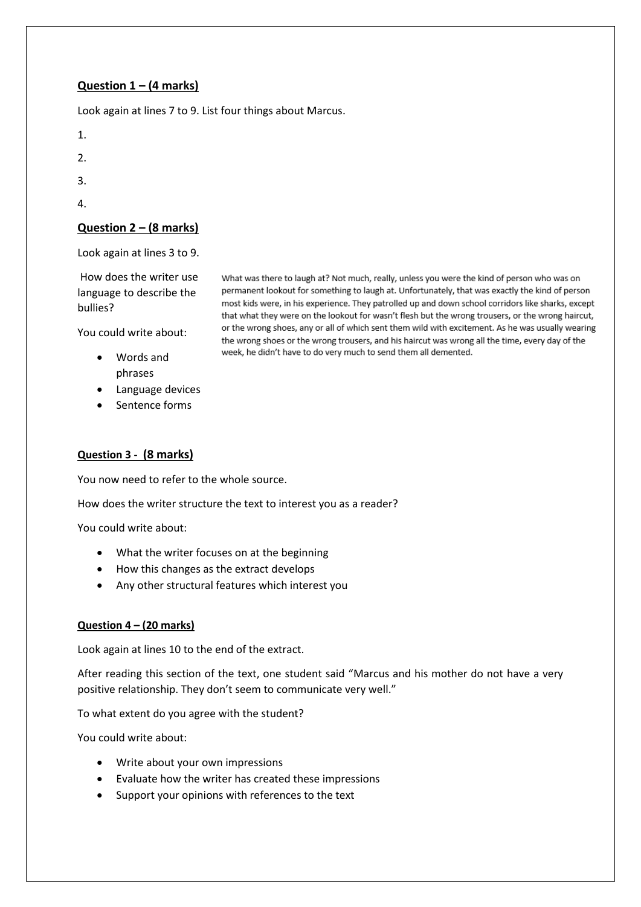Look again at lines 7 to 9. List four things about Marcus.

| 1. |  |  |  |
|----|--|--|--|
| 2. |  |  |  |
| 3. |  |  |  |
| 4. |  |  |  |
|    |  |  |  |

## **Question 2 – (8 marks)**

Look again at lines 3 to 9.

How does the writer use language to describe the bullies?

You could write about:

- Words and phrases
- Language devices
- Sentence forms

What was there to laugh at? Not much, really, unless you were the kind of person who was on permanent lookout for something to laugh at. Unfortunately, that was exactly the kind of person most kids were, in his experience. They patrolled up and down school corridors like sharks, except that what they were on the lookout for wasn't flesh but the wrong trousers, or the wrong haircut, or the wrong shoes, any or all of which sent them wild with excitement. As he was usually wearing the wrong shoes or the wrong trousers, and his haircut was wrong all the time, every day of the week, he didn't have to do very much to send them all demented.

## **Question 3 - (8 marks)**

You now need to refer to the whole source.

How does the writer structure the text to interest you as a reader?

You could write about:

- What the writer focuses on at the beginning
- How this changes as the extract develops
- Any other structural features which interest you

### **Question 4 – (20 marks)**

Look again at lines 10 to the end of the extract.

After reading this section of the text, one student said "Marcus and his mother do not have a very positive relationship. They don't seem to communicate very well."

To what extent do you agree with the student?

- Write about your own impressions
- Evaluate how the writer has created these impressions
- Support your opinions with references to the text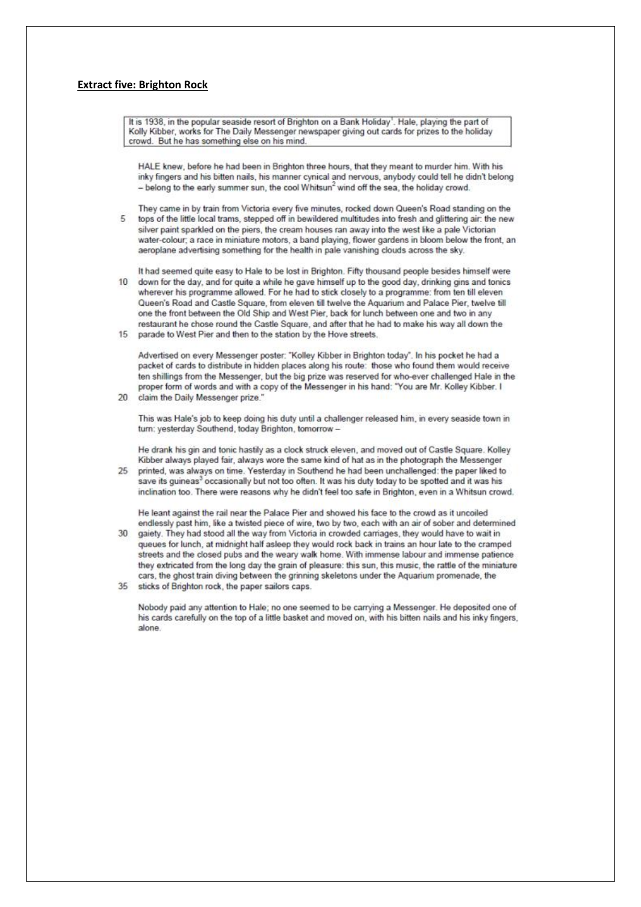#### **Extract five: Brighton Rock**

It is 1938, in the popular seaside resort of Brighton on a Bank Holiday'. Hale, playing the part of Kolly Kibber, works for The Daily Messenger newspaper giving out cards for prizes to the holiday crowd. But he has something else on his mind.

HALE knew, before he had been in Brighton three hours, that they meant to murder him. With his inky fingers and his bitten nails, his manner cynical and nervous, anybody could tell he didn't belong  $-$  belong to the early summer sun, the cool Whitsun<sup>2</sup> wind off the sea, the holiday crowd.

They came in by train from Victoria every five minutes, rocked down Queen's Road standing on the 5 tops of the little local trams, stepped off in bewildered multitudes into fresh and glittering air: the new silver paint sparkled on the piers, the cream houses ran away into the west like a pale Victorian water-colour; a race in miniature motors, a band playing, flower gardens in bloom below the front, an aeroplane advertising something for the health in pale vanishing clouds across the sky.

It had seemed quite easy to Hale to be lost in Brighton. Fifty thousand people besides himself were

- 10 down for the day, and for quite a while he gave himself up to the good day, drinking gins and tonics wherever his programme allowed. For he had to stick closely to a programme: from ten till eleven Queen's Road and Castle Square, from eleven till twelve the Aquarium and Palace Pier, twelve till one the front between the Old Ship and West Pier, back for lunch between one and two in any restaurant he chose round the Castle Square, and after that he had to make his way all down the
- 15 parade to West Pier and then to the station by the Hove streets.

Advertised on every Messenger poster: "Kolley Kibber in Brighton today". In his pocket he had a packet of cards to distribute in hidden places along his route: those who found them would receive ten shillings from the Messenger, but the big prize was reserved for who-ever challenged Hale in the proper form of words and with a copy of the Messenger in his hand: "You are Mr. Kolley Kibber. I

20 claim the Daily Messenger prize."

This was Hale's job to keep doing his duty until a challenger released him, in every seaside town in turn: yesterday Southend, today Brighton, tomorrow -

He drank his gin and tonic hastily as a clock struck eleven, and moved out of Castle Square. Kolley Kibber always played fair, always wore the same kind of hat as in the photograph the Messenger  $25$ printed, was always on time. Yesterday in Southend he had been unchallenged: the paper liked to save its quineas<sup>3</sup> occasionally but not too often. It was his duty today to be spotted and it was his

He leant against the rail near the Palace Pier and showed his face to the crowd as it uncoiled endlessly past him, like a twisted piece of wire, two by two, each with an air of sober and determined

inclination too. There were reasons why he didn't feel too safe in Brighton, even in a Whitsun crowd.

- $30<sup>°</sup>$ gaiety. They had stood all the way from Victoria in crowded carriages, they would have to wait in queues for lunch, at midnight half asleep they would rock back in trains an hour late to the cramped streets and the closed pubs and the weary walk home. With immense labour and immense patience they extricated from the long day the grain of pleasure: this sun, this music, the rattle of the miniature cars, the ghost train diving between the grinning skeletons under the Aquarium promenade, the
- 35 sticks of Brighton rock, the paper sailors caps.

Nobody paid any attention to Hale; no one seemed to be carrying a Messenger. He deposited one of his cards carefully on the top of a little basket and moved on, with his bitten nails and his inky fingers, alone.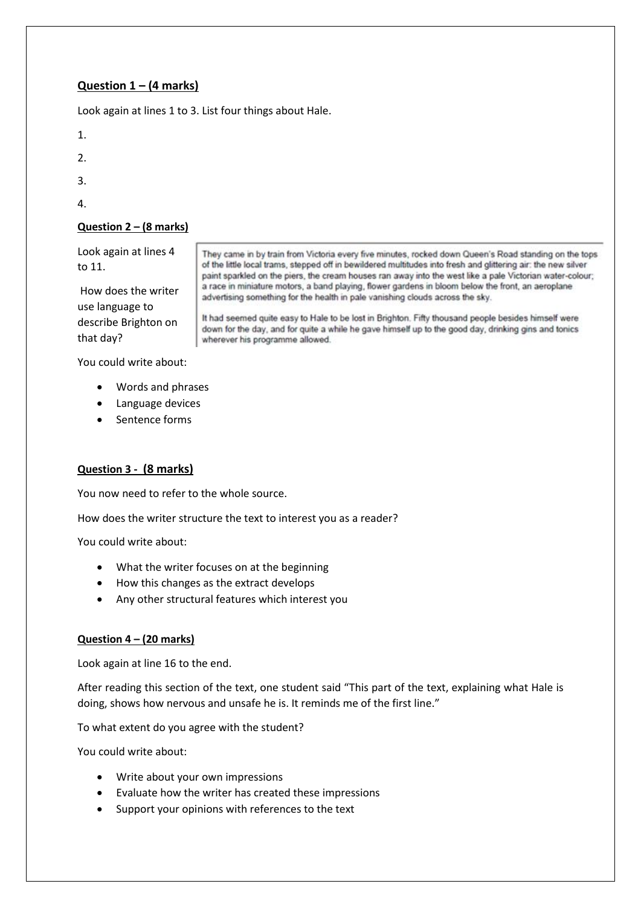Look again at lines 1 to 3. List four things about Hale.

1. 2. 3. 4. **Question 2 – (8 marks)**

> They came in by train from Victoria every five minutes, rocked down Queen's Road standing on the tops of the little local trams, stepped off in bewildered multitudes into fresh and glittering air: the new silver paint sparkled on the piers, the cream houses ran away into the west like a pale Victorian water-colour; a race in miniature motors, a band playing, flower gardens in bloom below the front, an aeroplane advertising something for the health in pale vanishing clouds across the sky.

It had seemed quite easy to Hale to be lost in Brighton. Fifty thousand people besides himself were down for the day, and for quite a while he gave himself up to the good day, drinking gins and tonics wherever his programme allowed.

You could write about:

- Words and phrases
- Language devices
- Sentence forms

### **Question 3 - (8 marks)**

You now need to refer to the whole source.

How does the writer structure the text to interest you as a reader?

You could write about:

- What the writer focuses on at the beginning
- How this changes as the extract develops
- Any other structural features which interest you

### **Question 4 – (20 marks)**

Look again at line 16 to the end.

After reading this section of the text, one student said "This part of the text, explaining what Hale is doing, shows how nervous and unsafe he is. It reminds me of the first line."

To what extent do you agree with the student?

You could write about:

- Write about your own impressions
- Evaluate how the writer has created these impressions
- Support your opinions with references to the text

How does the writer use language to describe Brighton on that day?

Look again at lines 4

to 11.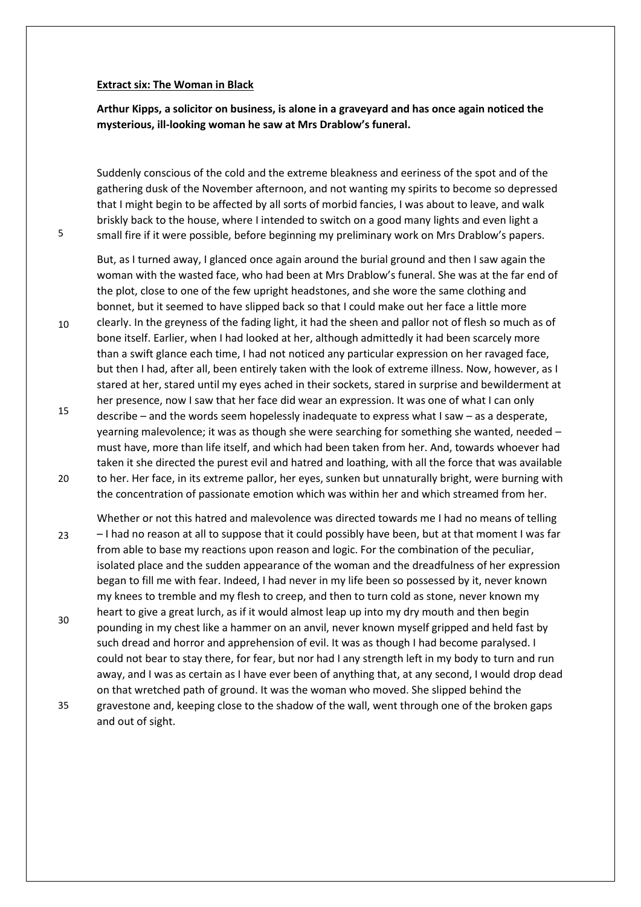#### **Extract six: The Woman in Black**

**Arthur Kipps, a solicitor on business, is alone in a graveyard and has once again noticed the mysterious, ill-looking woman he saw at Mrs Drablow's funeral.** 

Suddenly conscious of the cold and the extreme bleakness and eeriness of the spot and of the gathering dusk of the November afternoon, and not wanting my spirits to become so depressed that I might begin to be affected by all sorts of morbid fancies, I was about to leave, and walk briskly back to the house, where I intended to switch on a good many lights and even light a small fire if it were possible, before beginning my preliminary work on Mrs Drablow's papers.

But, as I turned away, I glanced once again around the burial ground and then I saw again the woman with the wasted face, who had been at Mrs Drablow's funeral. She was at the far end of the plot, close to one of the few upright headstones, and she wore the same clothing and bonnet, but it seemed to have slipped back so that I could make out her face a little more clearly. In the greyness of the fading light, it had the sheen and pallor not of flesh so much as of bone itself. Earlier, when I had looked at her, although admittedly it had been scarcely more than a swift glance each time, I had not noticed any particular expression on her ravaged face, but then I had, after all, been entirely taken with the look of extreme illness. Now, however, as I stared at her, stared until my eyes ached in their sockets, stared in surprise and bewilderment at

her presence, now I saw that her face did wear an expression. It was one of what I can only describe – and the words seem hopelessly inadequate to express what I saw – as a desperate, yearning malevolence; it was as though she were searching for something she wanted, needed – must have, more than life itself, and which had been taken from her. And, towards whoever had taken it she directed the purest evil and hatred and loathing, with all the force that was available to her. Her face, in its extreme pallor, her eyes, sunken but unnaturally bright, were burning with 15 20

the concentration of passionate emotion which was within her and which streamed from her.

Whether or not this hatred and malevolence was directed towards me I had no means of telling – I had no reason at all to suppose that it could possibly have been, but at that moment I was far from able to base my reactions upon reason and logic. For the combination of the peculiar, isolated place and the sudden appearance of the woman and the dreadfulness of her expression began to fill me with fear. Indeed, I had never in my life been so possessed by it, never known

my knees to tremble and my flesh to creep, and then to turn cold as stone, never known my

- heart to give a great lurch, as if it would almost leap up into my dry mouth and then begin pounding in my chest like a hammer on an anvil, never known myself gripped and held fast by such dread and horror and apprehension of evil. It was as though I had become paralysed. I could not bear to stay there, for fear, but nor had I any strength left in my body to turn and run away, and I was as certain as I have ever been of anything that, at any second, I would drop dead on that wretched path of ground. It was the woman who moved. She slipped behind the 30
- gravestone and, keeping close to the shadow of the wall, went through one of the broken gaps and out of sight. 35

5

10

23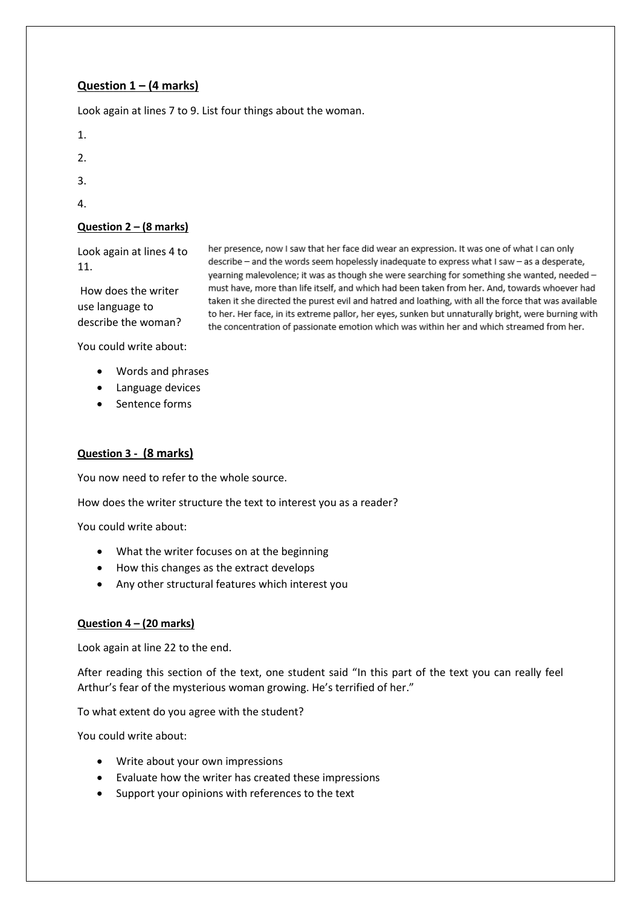Look again at lines 7 to 9. List four things about the woman.

1. 2. 3. 4. **Question 2 – (8 marks)**

Look again at lines 4 to 11.

How does the writer use language to describe the woman? her presence, now I saw that her face did wear an expression. It was one of what I can only describe - and the words seem hopelessly inadequate to express what I saw - as a desperate, yearning malevolence; it was as though she were searching for something she wanted, needed must have, more than life itself, and which had been taken from her. And, towards whoever had taken it she directed the purest evil and hatred and loathing, with all the force that was available to her. Her face, in its extreme pallor, her eyes, sunken but unnaturally bright, were burning with the concentration of passionate emotion which was within her and which streamed from her.

You could write about:

- Words and phrases
- Language devices
- Sentence forms

### **Question 3 - (8 marks)**

You now need to refer to the whole source.

How does the writer structure the text to interest you as a reader?

You could write about:

- What the writer focuses on at the beginning
- How this changes as the extract develops
- Any other structural features which interest you

### **Question 4 – (20 marks)**

Look again at line 22 to the end.

After reading this section of the text, one student said "In this part of the text you can really feel Arthur's fear of the mysterious woman growing. He's terrified of her."

To what extent do you agree with the student?

- Write about your own impressions
- Evaluate how the writer has created these impressions
- Support your opinions with references to the text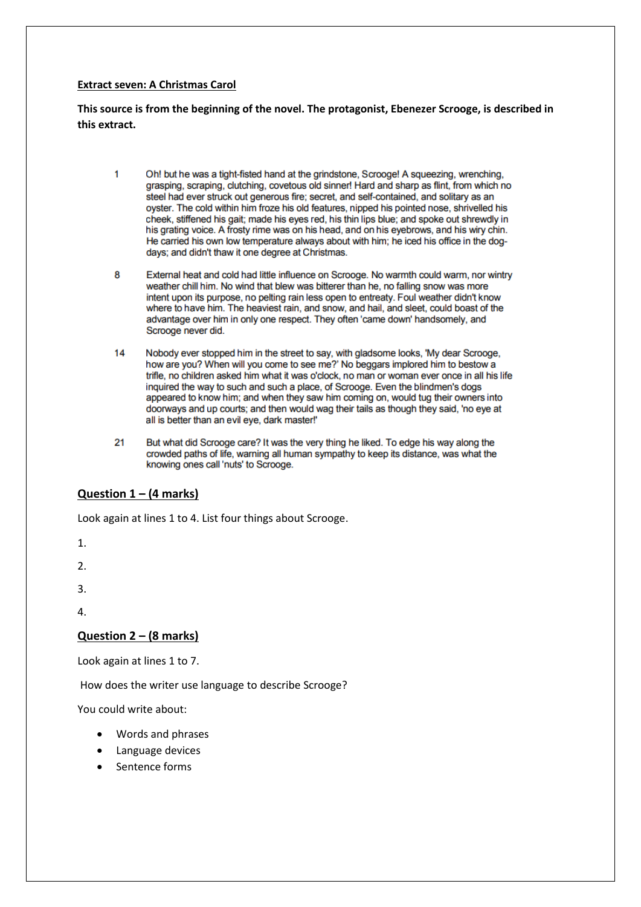#### **Extract seven: A Christmas Carol**

**This source is from the beginning of the novel. The protagonist, Ebenezer Scrooge, is described in this extract.** 

- $\mathbf{1}$ Oh! but he was a tight-fisted hand at the grindstone, Scrooge! A squeezing, wrenching, grasping, scraping, clutching, covetous old sinner! Hard and sharp as flint, from which no steel had ever struck out generous fire: secret, and self-contained, and solitary as an oyster. The cold within him froze his old features, nipped his pointed nose, shrivelled his cheek, stiffened his gait; made his eyes red, his thin lips blue; and spoke out shrewdly in his grating voice. A frosty rime was on his head, and on his eyebrows, and his wiry chin. He carried his own low temperature always about with him; he iced his office in the dogdays; and didn't thaw it one degree at Christmas.
- 8 External heat and cold had little influence on Scrooge. No warmth could warm, nor wintry weather chill him. No wind that blew was bitterer than he, no falling snow was more intent upon its purpose, no pelting rain less open to entreaty. Foul weather didn't know where to have him. The heaviest rain, and snow, and hail, and sleet, could boast of the advantage over him in only one respect. They often 'came down' handsomely, and Scrooge never did.
- 14 Nobody ever stopped him in the street to say, with gladsome looks, 'My dear Scrooge, how are you? When will you come to see me?' No beggars implored him to bestow a trifle, no children asked him what it was o'clock, no man or woman ever once in all his life inquired the way to such and such a place, of Scrooge. Even the blindmen's dogs appeared to know him; and when they saw him coming on, would tug their owners into doorways and up courts; and then would wag their tails as though they said, 'no eye at all is better than an evil eve, dark master!'
- $21$ But what did Scrooge care? It was the very thing he liked. To edge his way along the crowded paths of life, warning all human sympathy to keep its distance, was what the knowing ones call 'nuts' to Scrooge.

## **Question 1 – (4 marks)**

Look again at lines 1 to 4. List four things about Scrooge.

1.

2.

3.

4.

## **Question 2 – (8 marks)**

Look again at lines 1 to 7.

How does the writer use language to describe Scrooge?

- Words and phrases
- Language devices
- Sentence forms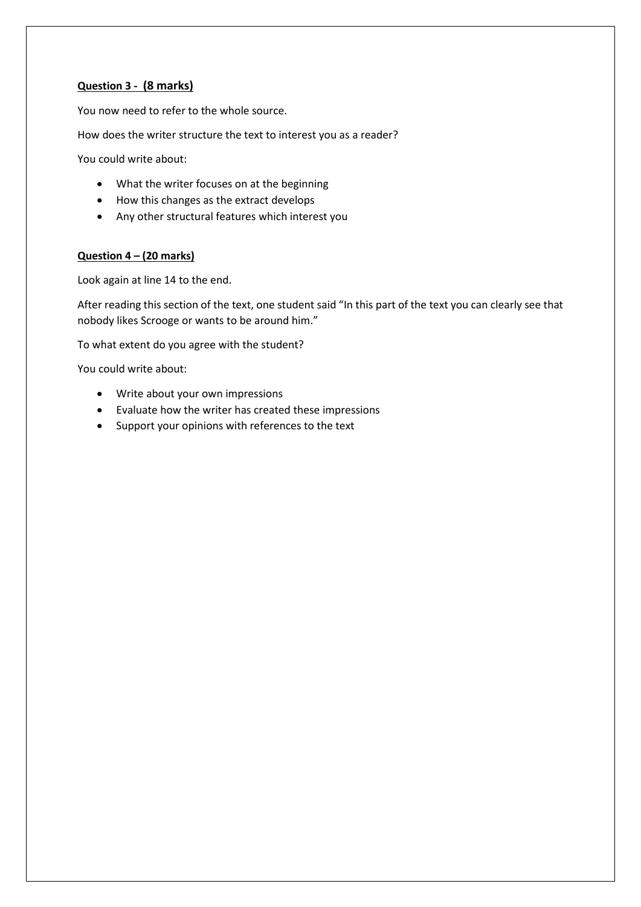## **Question 3 - (8 marks)**

You now need to refer to the whole source.

How does the writer structure the text to interest you as a reader?

You could write about:

- What the writer focuses on at the beginning
- How this changes as the extract develops
- Any other structural features which interest you

## **Question 4 – (20 marks)**

Look again at line 14 to the end.

After reading this section of the text, one student said "In this part of the text you can clearly see that nobody likes Scrooge or wants to be around him."

To what extent do you agree with the student?

- Write about your own impressions
- Evaluate how the writer has created these impressions
- Support your opinions with references to the text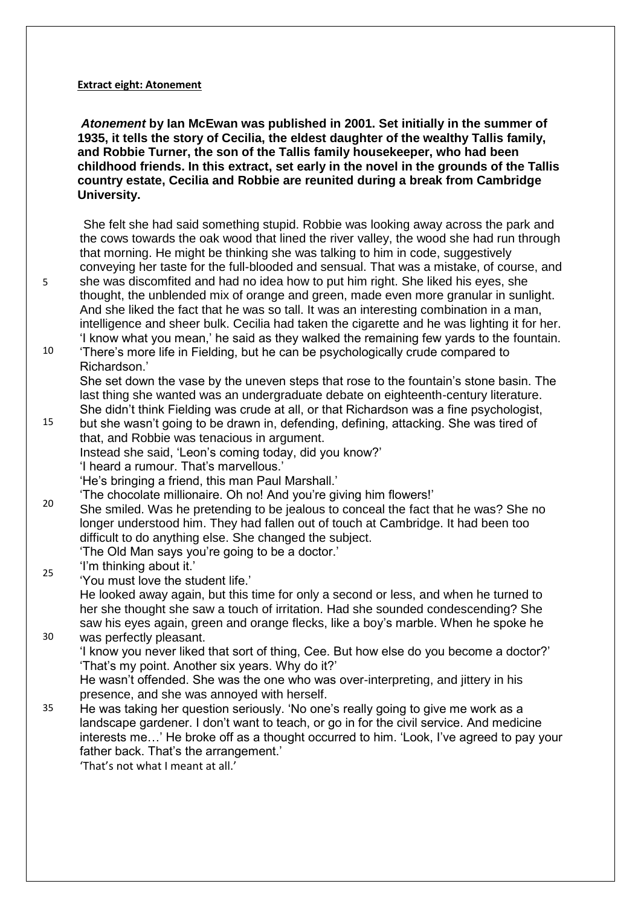### **Extract eight: Atonement**

*Atonement* **by Ian McEwan was published in 2001. Set initially in the summer of 1935, it tells the story of Cecilia, the eldest daughter of the wealthy Tallis family, and Robbie Turner, the son of the Tallis family housekeeper, who had been childhood friends. In this extract, set early in the novel in the grounds of the Tallis country estate, Cecilia and Robbie are reunited during a break from Cambridge University.**

She felt she had said something stupid. Robbie was looking away across the park and the cows towards the oak wood that lined the river valley, the wood she had run through that morning. He might be thinking she was talking to him in code, suggestively conveying her taste for the full-blooded and sensual. That was a mistake, of course, and

- she was discomfited and had no idea how to put him right. She liked his eyes, she thought, the unblended mix of orange and green, made even more granular in sunlight. And she liked the fact that he was so tall. It was an interesting combination in a man, intelligence and sheer bulk. Cecilia had taken the cigarette and he was lighting it for her. 'I know what you mean,' he said as they walked the remaining few yards to the fountain. 5
- 'There's more life in Fielding, but he can be psychologically crude compared to Richardson.' 10

She set down the vase by the uneven steps that rose to the fountain's stone basin. The last thing she wanted was an undergraduate debate on eighteenth-century literature. She didn't think Fielding was crude at all, or that Richardson was a fine psychologist,

- but she wasn't going to be drawn in, defending, defining, attacking. She was tired of that, and Robbie was tenacious in argument. 15
	- Instead she said, 'Leon's coming today, did you know?'
		- 'I heard a rumour. That's marvellous.'

'He's bringing a friend, this man Paul Marshall.'

- 'The chocolate millionaire. Oh no! And you're giving him flowers!'
- She smiled. Was he pretending to be jealous to conceal the fact that he was? She no longer understood him. They had fallen out of touch at Cambridge. It had been too difficult to do anything else. She changed the subject. 20

'The Old Man says you're going to be a doctor.'

- 'I'm thinking about it.' 25
- 'You must love the student life.'

He looked away again, but this time for only a second or less, and when he turned to her she thought she saw a touch of irritation. Had she sounded condescending? She saw his eyes again, green and orange flecks, like a boy's marble. When he spoke he

- was perfectly pleasant. 'I know you never liked that sort of thing, Cee. But how else do you become a doctor?' 'That's my point. Another six years. Why do it?' He wasn't offended. She was the one who was over-interpreting, and jittery in his presence, and she was annoyed with herself. 30
- He was taking her question seriously. 'No one's really going to give me work as a landscape gardener. I don't want to teach, or go in for the civil service. And medicine interests me…' He broke off as a thought occurred to him. 'Look, I've agreed to pay your father back. That's the arrangement.' 35

'That's not what I meant at all.'